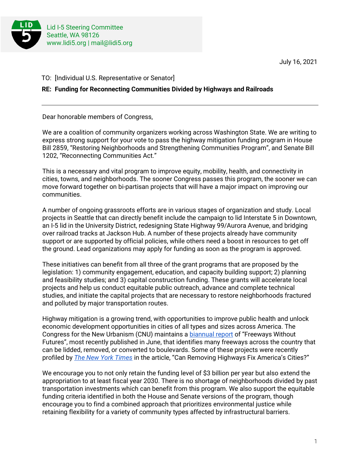

July 16, 2021

TO: [Individual U.S. Representative or Senator]

## **RE: Funding for Reconnecting Communities Divided by Highways and Railroads**

Dear honorable members of Congress,

We are a coalition of community organizers working across Washington State. We are writing to express strong support for your vote to pass the highway mitigation funding program in House Bill 2859, "Restoring Neighborhoods and Strengthening Communities Program", and Senate Bill 1202, "Reconnecting Communities Act."

This is a necessary and vital program to improve equity, mobility, health, and connectivity in cities, towns, and neighborhoods. The sooner Congress passes this program, the sooner we can move forward together on bi-partisan projects that will have a major impact on improving our communities.

A number of ongoing grassroots efforts are in various stages of organization and study. Local projects in Seattle that can directly benefit include the campaign to lid Interstate 5 in Downtown, an I-5 lid in the University District, redesigning State Highway 99/Aurora Avenue, and bridging over railroad tracks at Jackson Hub. A number of these projects already have community support or are supported by official policies, while others need a boost in resources to get off the ground. Lead organizations may apply for funding as soon as the program is approved.

These initiatives can benefit from all three of the grant programs that are proposed by the legislation: 1) community engagement, education, and capacity building support; 2) planning and feasibility studies; and 3) capital construction funding. These grants will accelerate local projects and help us conduct equitable public outreach, advance and complete technical studies, and initiate the capital projects that are necessary to restore neighborhoods fractured and polluted by major transportation routes.

Highway mitigation is a growing trend, with opportunities to improve public health and unlock economic development opportunities in cities of all types and sizes across America. The Congress for the New Urbanism (CNU) maintains a [biannual report](https://www.cnu.org/our-projects/highways-boulevards/freeways-without-futures) of "Freeways Without Futures", most recently published in June, that identifies many freeways across the country that can be lidded, removed, or converted to boulevards. Some of these projects were recently profiled by *[The New York Times](https://www.nytimes.com/interactive/2021/05/27/climate/us-cities-highway-removal.html)* in the article, "Can Removing Highways Fix America's Cities?"

We encourage you to not only retain the funding level of \$3 billion per year but also extend the appropriation to at least fiscal year 2030. There is no shortage of neighborhoods divided by past transportation investments which can benefit from this program. We also support the equitable funding criteria identified in both the House and Senate versions of the program, though encourage you to find a combined approach that prioritizes environmental justice while retaining flexibility for a variety of community types affected by infrastructural barriers.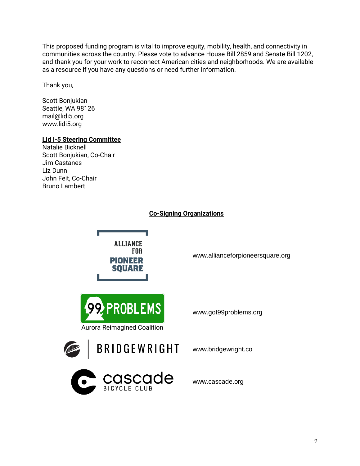This proposed funding program is vital to improve equity, mobility, health, and connectivity in communities across the country. Please vote to advance House Bill 2859 and Senate Bill 1202, and thank you for your work to reconnect American cities and neighborhoods. We are available as a resource if you have any questions or need further information.

Thank you,

Scott Bonjukian Seattle, WA 98126 mail@lidi5.org www.lidi5.org

### **Lid I-5 Steering Committee**

Natalie Bicknell Scott Bonjukian, Co-Chair Jim Castanes Liz Dunn John Feit, Co-Chair Bruno Lambert

# **Co-Signing Organizations**

**ALLIANCE** FNR **PIONEER SOUARE** 

**PROBLEMS** Aurora Reimagined Coalition

www.got99problems.org

www.allianceforpioneersquare.org



www.bridgewright.co



www.cascade.org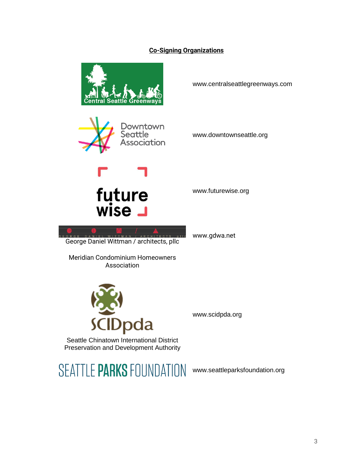# **Co-Signing Organizations**



www.centralseattlegreenways.com



www.downtownseattle.org

www.futurewise.org

www.gdwa.net



George Daniel Wittman / architects, pllc

Meridian Condominium Homeowners Association



www.scidpda.org

Seattle Chinatown International District Preservation and Development Authority

SEATTLE PARKS FOUNDATION www.seattleparksfoundation.org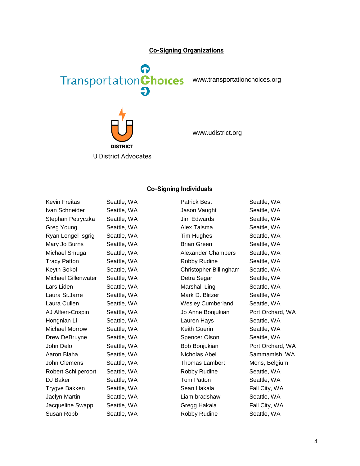#### **Co-Signing Organizations**



www.transportationchoices.org



www.udistrict.org

### **Co-Signing Individuals**

| <b>Kevin Freitas</b>       | Seattle, WA                       | <b>Patrick Best</b>      | Seattle, WA                                            |
|----------------------------|-----------------------------------|--------------------------|--------------------------------------------------------|
| Ivan Schneider             | Seattle, WA                       | Jason Vaught             | Seattle, WA                                            |
| Stephan Petryczka          | Seattle, WA                       | Jim Edwards              | Seattle, WA                                            |
| <b>Greg Young</b>          | Seattle, WA                       | Alex Talsma              | Seattle, WA                                            |
| Ryan Lengel Isgrig         | Seattle, WA                       | Tim Hughes               | Seattle, WA                                            |
| Mary Jo Burns              | Seattle, WA                       | <b>Brian Green</b>       | Seattle, WA                                            |
| Michael Smuga              | Seattle, WA                       | Alexander Chambers       | Seattle, WA                                            |
| <b>Tracy Patton</b>        | Seattle, WA                       | <b>Robby Rudine</b>      | Seattle, WA                                            |
| Keyth Sokol                | Seattle, WA                       | Christopher Billingham   | Seattle, WA                                            |
| <b>Michael Gillenwater</b> | Seattle, WA                       | Detra Segar              | Seattle, WA                                            |
| Lars Liden                 | Seattle, WA                       | Marshall Ling            | Seattle, WA                                            |
| Laura St.Jarre             | Seattle, WA                       | Mark D. Blitzer          | Seattle, WA                                            |
| Laura Cullen               | Seattle, WA                       | <b>Wesley Cumberland</b> | Seattle, WA                                            |
| AJ Alfieri-Crispin         | Seattle, WA                       | Jo Anne Bonjukian        | Port Orchard, WA                                       |
| Hongnian Li                | Seattle, WA                       | Lauren Hays              | Seattle, WA                                            |
| <b>Michael Morrow</b>      | Seattle, WA                       | Keith Guerin             | Seattle, WA                                            |
| Drew DeBruyne              | Seattle, WA                       | Spencer Olson            | Seattle, WA                                            |
| John Delo                  | Seattle, WA                       | Bob Bonjukian            | Port Orchard, WA                                       |
| Aaron Blaha                | Seattle, WA                       | Nicholas Abel            | Sammamish, WA                                          |
| John Clemens               | Seattle, WA                       | <b>Thomas Lambert</b>    | Mons, Belgium                                          |
| Robert Schilperoort        | Seattle, WA                       | Robby Rudine             | Seattle, WA                                            |
| DJ Baker                   | Seattle, WA                       | Tom Patton               | Seattle, WA                                            |
| Trygve Bakken              | Seattle, WA                       | Sean Hakala              | Fall City, WA                                          |
| Jaclyn Martin              | Seattle, WA                       | Liam bradshaw            | Seattle, WA                                            |
| Jacqueline Swapp           | Seattle, WA                       | Gregg Hakala             | Fall City, WA                                          |
| $O_{11000}$ Dahh           | $C_{\alpha}$ $\sim$ $\sim$ $1010$ | Dahhu Dudina.            | $C_{\alpha}$ $\sim$ $\sim$ $\sim$ $\sim$ $\sim$ $\sim$ |

4